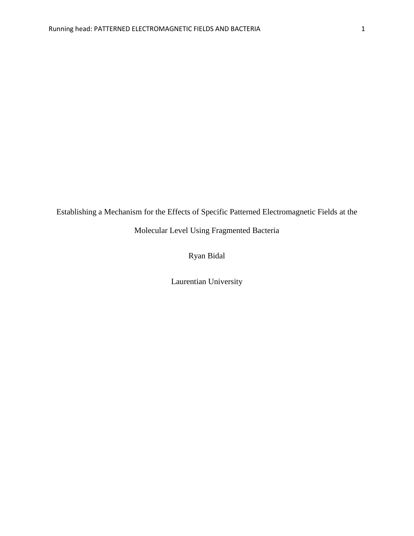Establishing a Mechanism for the Effects of Specific Patterned Electromagnetic Fields at the

Molecular Level Using Fragmented Bacteria

## Ryan Bidal

Laurentian University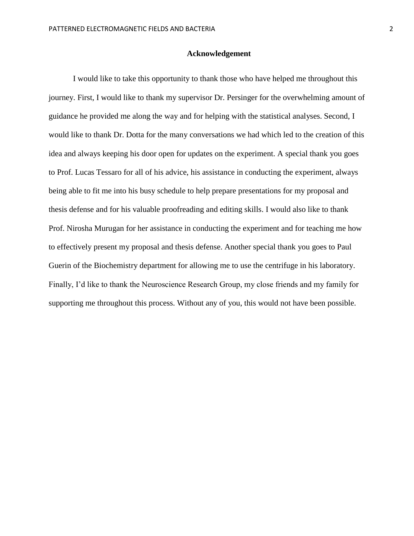## **Acknowledgement**

I would like to take this opportunity to thank those who have helped me throughout this journey. First, I would like to thank my supervisor Dr. Persinger for the overwhelming amount of guidance he provided me along the way and for helping with the statistical analyses. Second, I would like to thank Dr. Dotta for the many conversations we had which led to the creation of this idea and always keeping his door open for updates on the experiment. A special thank you goes to Prof. Lucas Tessaro for all of his advice, his assistance in conducting the experiment, always being able to fit me into his busy schedule to help prepare presentations for my proposal and thesis defense and for his valuable proofreading and editing skills. I would also like to thank Prof. Nirosha Murugan for her assistance in conducting the experiment and for teaching me how to effectively present my proposal and thesis defense. Another special thank you goes to Paul Guerin of the Biochemistry department for allowing me to use the centrifuge in his laboratory. Finally, I'd like to thank the Neuroscience Research Group, my close friends and my family for supporting me throughout this process. Without any of you, this would not have been possible.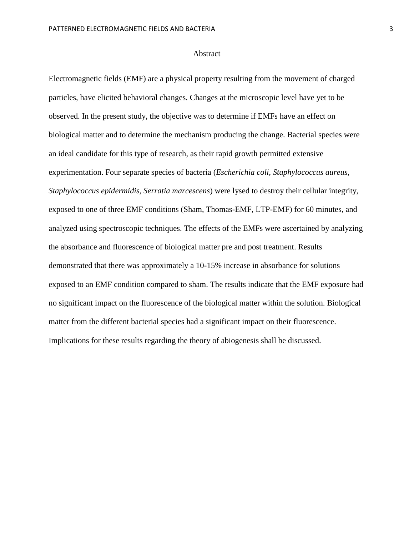#### Abstract

Electromagnetic fields (EMF) are a physical property resulting from the movement of charged particles, have elicited behavioral changes. Changes at the microscopic level have yet to be observed. In the present study, the objective was to determine if EMFs have an effect on biological matter and to determine the mechanism producing the change. Bacterial species were an ideal candidate for this type of research, as their rapid growth permitted extensive experimentation. Four separate species of bacteria (*Escherichia coli, Staphylococcus aureus, Staphylococcus epidermidis, Serratia marcescens*) were lysed to destroy their cellular integrity, exposed to one of three EMF conditions (Sham, Thomas-EMF, LTP-EMF) for 60 minutes, and analyzed using spectroscopic techniques. The effects of the EMFs were ascertained by analyzing the absorbance and fluorescence of biological matter pre and post treatment. Results demonstrated that there was approximately a 10-15% increase in absorbance for solutions exposed to an EMF condition compared to sham. The results indicate that the EMF exposure had no significant impact on the fluorescence of the biological matter within the solution. Biological matter from the different bacterial species had a significant impact on their fluorescence. Implications for these results regarding the theory of abiogenesis shall be discussed.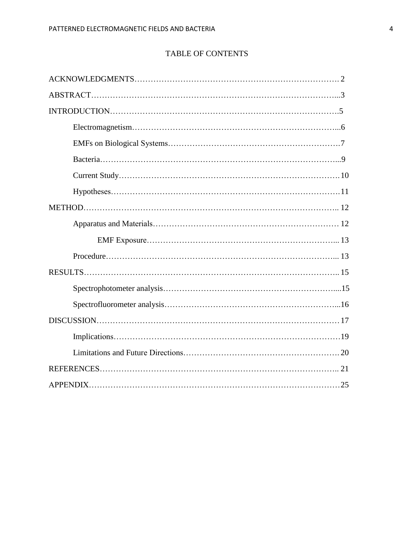# TABLE OF CONTENTS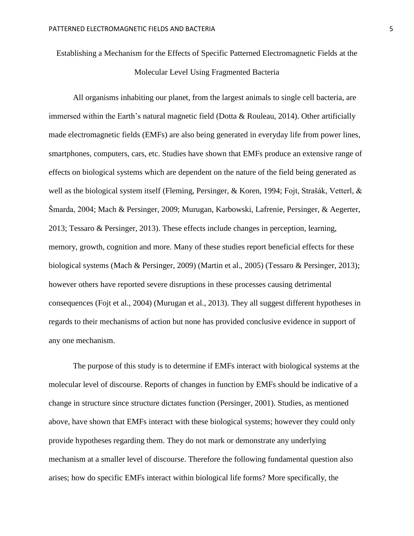Establishing a Mechanism for the Effects of Specific Patterned Electromagnetic Fields at the Molecular Level Using Fragmented Bacteria

All organisms inhabiting our planet, from the largest animals to single cell bacteria, are immersed within the Earth's natural magnetic field (Dotta & Rouleau, 2014). Other artificially made electromagnetic fields (EMFs) are also being generated in everyday life from power lines, smartphones, computers, cars, etc. Studies have shown that EMFs produce an extensive range of effects on biological systems which are dependent on the nature of the field being generated as well as the biological system itself (Fleming, Persinger, & Koren, 1994; Fojt, Strašák, Vetterl, & Šmarda, 2004; Mach & Persinger, 2009; Murugan, Karbowski, Lafrenie, Persinger, & Aegerter, 2013; Tessaro & Persinger, 2013). These effects include changes in perception, learning, memory, growth, cognition and more. Many of these studies report beneficial effects for these biological systems (Mach & Persinger, 2009) (Martin et al., 2005) (Tessaro & Persinger, 2013); however others have reported severe disruptions in these processes causing detrimental consequences (Fojt et al., 2004) (Murugan et al., 2013). They all suggest different hypotheses in regards to their mechanisms of action but none has provided conclusive evidence in support of any one mechanism.

The purpose of this study is to determine if EMFs interact with biological systems at the molecular level of discourse. Reports of changes in function by EMFs should be indicative of a change in structure since structure dictates function (Persinger, 2001). Studies, as mentioned above, have shown that EMFs interact with these biological systems; however they could only provide hypotheses regarding them. They do not mark or demonstrate any underlying mechanism at a smaller level of discourse. Therefore the following fundamental question also arises; how do specific EMFs interact within biological life forms? More specifically, the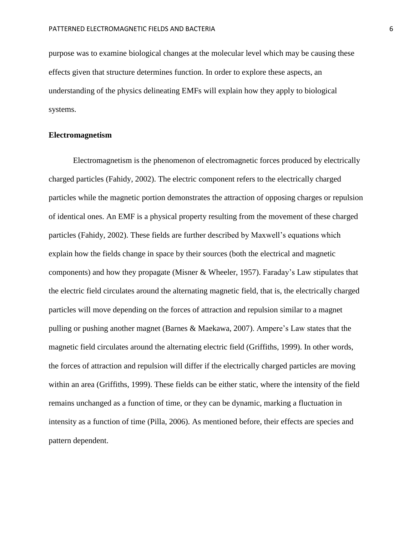purpose was to examine biological changes at the molecular level which may be causing these effects given that structure determines function. In order to explore these aspects, an understanding of the physics delineating EMFs will explain how they apply to biological systems.

## **Electromagnetism**

Electromagnetism is the phenomenon of electromagnetic forces produced by electrically charged particles (Fahidy, 2002). The electric component refers to the electrically charged particles while the magnetic portion demonstrates the attraction of opposing charges or repulsion of identical ones. An EMF is a physical property resulting from the movement of these charged particles (Fahidy, 2002). These fields are further described by Maxwell's equations which explain how the fields change in space by their sources (both the electrical and magnetic components) and how they propagate (Misner & Wheeler, 1957). Faraday's Law stipulates that the electric field circulates around the alternating magnetic field, that is, the electrically charged particles will move depending on the forces of attraction and repulsion similar to a magnet pulling or pushing another magnet (Barnes & Maekawa, 2007). Ampere's Law states that the magnetic field circulates around the alternating electric field (Griffiths, 1999). In other words, the forces of attraction and repulsion will differ if the electrically charged particles are moving within an area (Griffiths, 1999). These fields can be either static, where the intensity of the field remains unchanged as a function of time, or they can be dynamic, marking a fluctuation in intensity as a function of time (Pilla, 2006). As mentioned before, their effects are species and pattern dependent.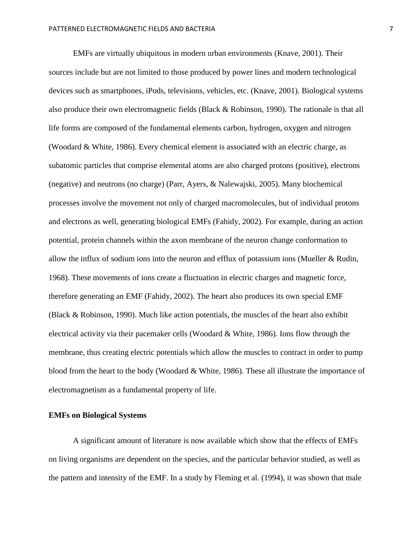EMFs are virtually ubiquitous in modern urban environments (Knave, 2001). Their sources include but are not limited to those produced by power lines and modern technological devices such as smartphones, iPods, televisions, vehicles, etc. (Knave, 2001). Biological systems also produce their own electromagnetic fields (Black & Robinson, 1990). The rationale is that all life forms are composed of the fundamental elements carbon, hydrogen, oxygen and nitrogen (Woodard & White, 1986). Every chemical element is associated with an electric charge, as subatomic particles that comprise elemental atoms are also charged protons (positive), electrons (negative) and neutrons (no charge) (Parr, Ayers, & Nalewajski, 2005). Many biochemical processes involve the movement not only of charged macromolecules, but of individual protons and electrons as well, generating biological EMFs (Fahidy, 2002). For example, during an action potential, protein channels within the axon membrane of the neuron change conformation to allow the influx of sodium ions into the neuron and efflux of potassium ions (Mueller & Rudin, 1968). These movements of ions create a fluctuation in electric charges and magnetic force, therefore generating an EMF (Fahidy, 2002). The heart also produces its own special EMF (Black & Robinson, 1990). Much like action potentials, the muscles of the heart also exhibit electrical activity via their pacemaker cells (Woodard & White, 1986). Ions flow through the membrane, thus creating electric potentials which allow the muscles to contract in order to pump blood from the heart to the body (Woodard & White, 1986). These all illustrate the importance of electromagnetism as a fundamental property of life.

## **EMFs on Biological Systems**

A significant amount of literature is now available which show that the effects of EMFs on living organisms are dependent on the species, and the particular behavior studied, as well as the pattern and intensity of the EMF. In a study by Fleming et al. (1994), it was shown that male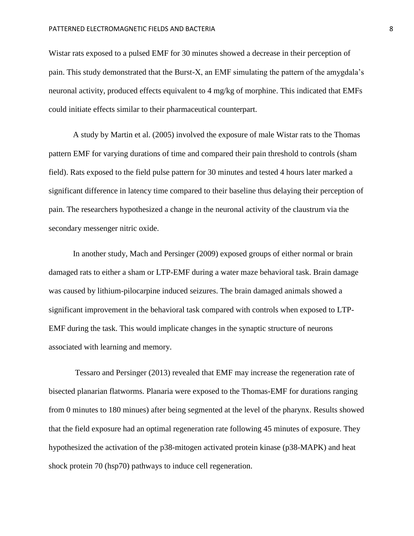Wistar rats exposed to a pulsed EMF for 30 minutes showed a decrease in their perception of pain. This study demonstrated that the Burst-X, an EMF simulating the pattern of the amygdala's neuronal activity, produced effects equivalent to 4 mg/kg of morphine. This indicated that EMFs could initiate effects similar to their pharmaceutical counterpart.

A study by Martin et al. (2005) involved the exposure of male Wistar rats to the Thomas pattern EMF for varying durations of time and compared their pain threshold to controls (sham field). Rats exposed to the field pulse pattern for 30 minutes and tested 4 hours later marked a significant difference in latency time compared to their baseline thus delaying their perception of pain. The researchers hypothesized a change in the neuronal activity of the claustrum via the secondary messenger nitric oxide.

In another study, Mach and Persinger (2009) exposed groups of either normal or brain damaged rats to either a sham or LTP-EMF during a water maze behavioral task. Brain damage was caused by lithium-pilocarpine induced seizures. The brain damaged animals showed a significant improvement in the behavioral task compared with controls when exposed to LTP-EMF during the task. This would implicate changes in the synaptic structure of neurons associated with learning and memory.

Tessaro and Persinger (2013) revealed that EMF may increase the regeneration rate of bisected planarian flatworms. Planaria were exposed to the Thomas-EMF for durations ranging from 0 minutes to 180 minues) after being segmented at the level of the pharynx. Results showed that the field exposure had an optimal regeneration rate following 45 minutes of exposure. They hypothesized the activation of the p38-mitogen activated protein kinase (p38-MAPK) and heat shock protein 70 (hsp70) pathways to induce cell regeneration.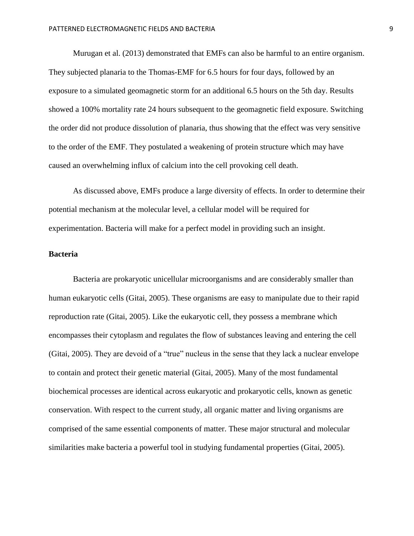Murugan et al. (2013) demonstrated that EMFs can also be harmful to an entire organism. They subjected planaria to the Thomas-EMF for 6.5 hours for four days, followed by an exposure to a simulated geomagnetic storm for an additional 6.5 hours on the 5th day. Results showed a 100% mortality rate 24 hours subsequent to the geomagnetic field exposure. Switching the order did not produce dissolution of planaria, thus showing that the effect was very sensitive to the order of the EMF. They postulated a weakening of protein structure which may have caused an overwhelming influx of calcium into the cell provoking cell death.

As discussed above, EMFs produce a large diversity of effects. In order to determine their potential mechanism at the molecular level, a cellular model will be required for experimentation. Bacteria will make for a perfect model in providing such an insight.

## **Bacteria**

Bacteria are prokaryotic unicellular microorganisms and are considerably smaller than human eukaryotic cells (Gitai, 2005). These organisms are easy to manipulate due to their rapid reproduction rate (Gitai, 2005). Like the eukaryotic cell, they possess a membrane which encompasses their cytoplasm and regulates the flow of substances leaving and entering the cell (Gitai, 2005). They are devoid of a "true" nucleus in the sense that they lack a nuclear envelope to contain and protect their genetic material (Gitai, 2005). Many of the most fundamental biochemical processes are identical across eukaryotic and prokaryotic cells, known as genetic conservation. With respect to the current study, all organic matter and living organisms are comprised of the same essential components of matter. These major structural and molecular similarities make bacteria a powerful tool in studying fundamental properties (Gitai, 2005).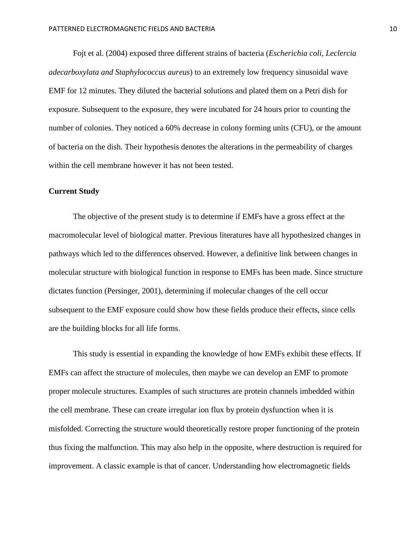Fojt et al. (2004) exposed three different strains of bacteria (*Escherichia coli, Leclercia adecarboxylata and Staphylococcus aureus*) to an extremely low frequency sinusoidal wave EMF for 12 minutes. They diluted the bacterial solutions and plated them on a Petri dish for exposure. Subsequent to the exposure, they were incubated for 24 hours prior to counting the number of colonies. They noticed a 60% decrease in colony forming units (CFU), or the amount of bacteria on the dish. Their hypothesis denotes the alterations in the permeability of charges within the cell membrane however it has not been tested.

## **Current Study**

The objective of the present study is to determine if EMFs have a gross effect at the macromolecular level of biological matter. Previous literatures have all hypothesized changes in pathways which led to the differences observed. However, a definitive link between changes in molecular structure with biological function in response to EMFs has been made. Since structure dictates function (Persinger, 2001), determining if molecular changes of the cell occur subsequent to the EMF exposure could show how these fields produce their effects, since cells are the building blocks for all life forms.

This study is essential in expanding the knowledge of how EMFs exhibit these effects. If EMFs can affect the structure of molecules, then maybe we can develop an EMF to promote proper molecule structures. Examples of such structures are protein channels imbedded within the cell membrane. These can create irregular ion flux by protein dysfunction when it is misfolded. Correcting the structure would theoretically restore proper functioning of the protein thus fixing the malfunction. This may also help in the opposite, where destruction is required for improvement. A classic example is that of cancer. Understanding how electromagnetic fields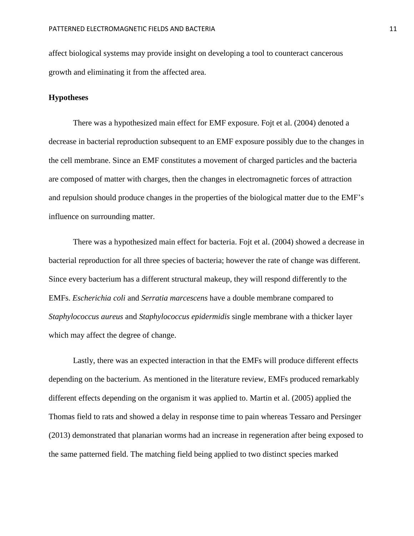affect biological systems may provide insight on developing a tool to counteract cancerous growth and eliminating it from the affected area.

## **Hypotheses**

There was a hypothesized main effect for EMF exposure. Fojt et al. (2004) denoted a decrease in bacterial reproduction subsequent to an EMF exposure possibly due to the changes in the cell membrane. Since an EMF constitutes a movement of charged particles and the bacteria are composed of matter with charges, then the changes in electromagnetic forces of attraction and repulsion should produce changes in the properties of the biological matter due to the EMF's influence on surrounding matter.

There was a hypothesized main effect for bacteria. Fojt et al. (2004) showed a decrease in bacterial reproduction for all three species of bacteria; however the rate of change was different. Since every bacterium has a different structural makeup, they will respond differently to the EMFs. *Escherichia coli* and *Serratia marcescens* have a double membrane compared to *Staphylococcus aureus* and *Staphylococcus epidermidis* single membrane with a thicker layer which may affect the degree of change.

Lastly, there was an expected interaction in that the EMFs will produce different effects depending on the bacterium. As mentioned in the literature review, EMFs produced remarkably different effects depending on the organism it was applied to. Martin et al. (2005) applied the Thomas field to rats and showed a delay in response time to pain whereas Tessaro and Persinger (2013) demonstrated that planarian worms had an increase in regeneration after being exposed to the same patterned field. The matching field being applied to two distinct species marked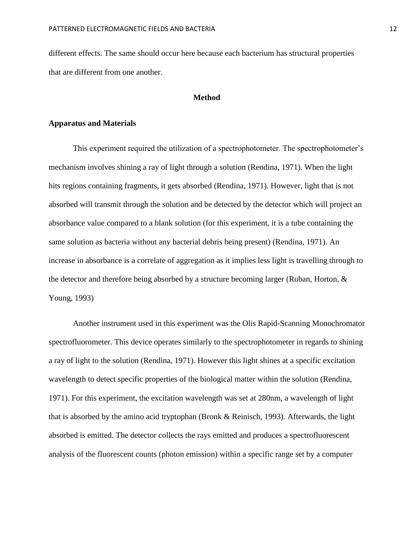different effects. The same should occur here because each bacterium has structural properties that are different from one another.

## **Method**

## **Apparatus and Materials**

This experiment required the utilization of a spectrophotometer. The spectrophotometer's mechanism involves shining a ray of light through a solution (Rendina, 1971). When the light hits regions containing fragments, it gets absorbed (Rendina, 1971). However, light that is not absorbed will transmit through the solution and be detected by the detector which will project an absorbance value compared to a blank solution (for this experiment, it is a tube containing the same solution as bacteria without any bacterial debris being present) (Rendina, 1971). An increase in absorbance is a correlate of aggregation as it implies less light is travelling through to the detector and therefore being absorbed by a structure becoming larger (Ruban, Horton, & Young, 1993)

Another instrument used in this experiment was the Olis Rapid-Scanning Monochromator spectrofluorometer. This device operates similarly to the spectrophotometer in regards to shining a ray of light to the solution (Rendina, 1971). However this light shines at a specific excitation wavelength to detect specific properties of the biological matter within the solution (Rendina, 1971). For this experiment, the excitation wavelength was set at 280nm, a wavelength of light that is absorbed by the amino acid tryptophan (Bronk & Reinisch, 1993). Afterwards, the light absorbed is emitted. The detector collects the rays emitted and produces a spectrofluorescent analysis of the fluorescent counts (photon emission) within a specific range set by a computer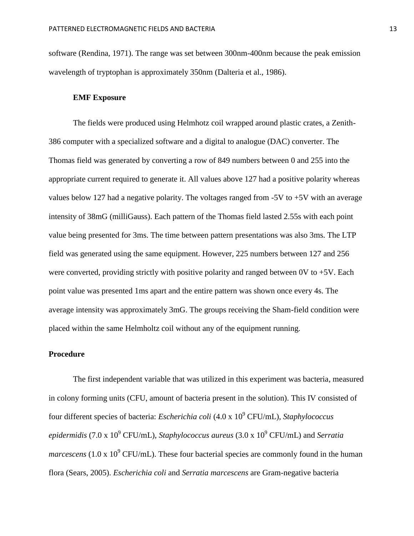software (Rendina, 1971). The range was set between 300nm-400nm because the peak emission wavelength of tryptophan is approximately 350nm (Dalteria et al., 1986).

#### **EMF Exposure**

The fields were produced using Helmhotz coil wrapped around plastic crates, a Zenith-386 computer with a specialized software and a digital to analogue (DAC) converter. The Thomas field was generated by converting a row of 849 numbers between 0 and 255 into the appropriate current required to generate it. All values above 127 had a positive polarity whereas values below 127 had a negative polarity. The voltages ranged from -5V to +5V with an average intensity of 38mG (milliGauss). Each pattern of the Thomas field lasted 2.55s with each point value being presented for 3ms. The time between pattern presentations was also 3ms. The LTP field was generated using the same equipment. However, 225 numbers between 127 and 256 were converted, providing strictly with positive polarity and ranged between  $0V$  to  $+5V$ . Each point value was presented 1ms apart and the entire pattern was shown once every 4s. The average intensity was approximately 3mG. The groups receiving the Sham-field condition were placed within the same Helmholtz coil without any of the equipment running.

## **Procedure**

The first independent variable that was utilized in this experiment was bacteria, measured in colony forming units (CFU, amount of bacteria present in the solution). This IV consisted of four different species of bacteria: *Escherichia coli* (4.0 x 10<sup>9</sup> CFU/mL)*, Staphylococcus epidermidis* (7.0 x 10<sup>9</sup> CFU/mL)*, Staphylococcus aureus* (3.0 x 10<sup>9</sup> CFU/mL) and *Serratia marcescens* (1.0 x  $10^9$  CFU/mL). These four bacterial species are commonly found in the human flora (Sears, 2005). *Escherichia coli* and *Serratia marcescens* are Gram-negative bacteria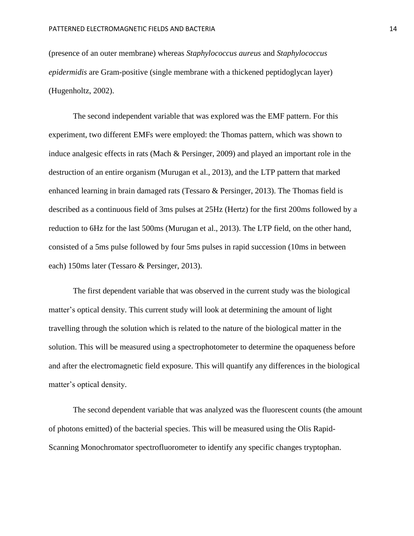(presence of an outer membrane) whereas *Staphylococcus aureus* and *Staphylococcus epidermidis* are Gram-positive (single membrane with a thickened peptidoglycan layer) (Hugenholtz, 2002).

The second independent variable that was explored was the EMF pattern. For this experiment, two different EMFs were employed: the Thomas pattern, which was shown to induce analgesic effects in rats (Mach & Persinger, 2009) and played an important role in the destruction of an entire organism (Murugan et al., 2013), and the LTP pattern that marked enhanced learning in brain damaged rats (Tessaro & Persinger, 2013). The Thomas field is described as a continuous field of 3ms pulses at 25Hz (Hertz) for the first 200ms followed by a reduction to 6Hz for the last 500ms (Murugan et al., 2013). The LTP field, on the other hand, consisted of a 5ms pulse followed by four 5ms pulses in rapid succession (10ms in between each) 150ms later (Tessaro & Persinger, 2013).

The first dependent variable that was observed in the current study was the biological matter's optical density. This current study will look at determining the amount of light travelling through the solution which is related to the nature of the biological matter in the solution. This will be measured using a spectrophotometer to determine the opaqueness before and after the electromagnetic field exposure. This will quantify any differences in the biological matter's optical density.

The second dependent variable that was analyzed was the fluorescent counts (the amount of photons emitted) of the bacterial species. This will be measured using the Olis Rapid-Scanning Monochromator spectrofluorometer to identify any specific changes tryptophan.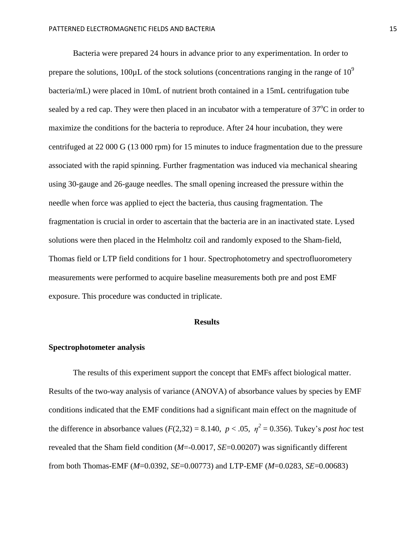Bacteria were prepared 24 hours in advance prior to any experimentation. In order to prepare the solutions,  $100 \mu L$  of the stock solutions (concentrations ranging in the range of  $10^9$ ) bacteria/mL) were placed in 10mL of nutrient broth contained in a 15mL centrifugation tube sealed by a red cap. They were then placed in an incubator with a temperature of  $37^{\circ}$ C in order to maximize the conditions for the bacteria to reproduce. After 24 hour incubation, they were centrifuged at 22 000 G (13 000 rpm) for 15 minutes to induce fragmentation due to the pressure associated with the rapid spinning. Further fragmentation was induced via mechanical shearing using 30-gauge and 26-gauge needles. The small opening increased the pressure within the needle when force was applied to eject the bacteria, thus causing fragmentation. The fragmentation is crucial in order to ascertain that the bacteria are in an inactivated state. Lysed solutions were then placed in the Helmholtz coil and randomly exposed to the Sham-field, Thomas field or LTP field conditions for 1 hour. Spectrophotometry and spectrofluorometery measurements were performed to acquire baseline measurements both pre and post EMF exposure. This procedure was conducted in triplicate.

### **Results**

## **Spectrophotometer analysis**

The results of this experiment support the concept that EMFs affect biological matter. Results of the two-way analysis of variance (ANOVA) of absorbance values by species by EMF conditions indicated that the EMF conditions had a significant main effect on the magnitude of the difference in absorbance values  $(F(2,32) = 8.140, p < .05, \eta^2 = 0.356)$ . Tukey's *post hoc* test revealed that the Sham field condition (*M*=-0.0017, *SE*=0.00207) was significantly different from both Thomas-EMF (*M*=0.0392, *SE*=0.00773) and LTP-EMF (*M*=0.0283, *SE*=0.00683)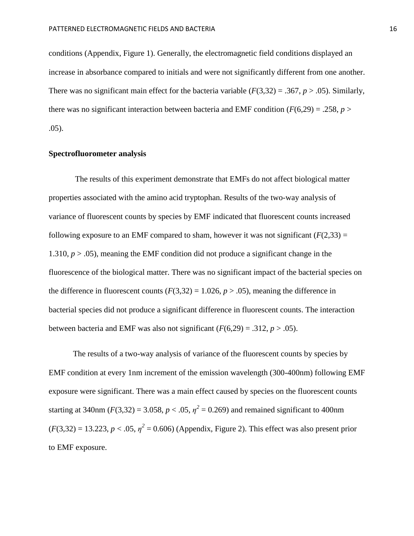conditions (Appendix, Figure 1). Generally, the electromagnetic field conditions displayed an increase in absorbance compared to initials and were not significantly different from one another. There was no significant main effect for the bacteria variable  $(F(3,32) = .367, p > .05)$ . Similarly, there was no significant interaction between bacteria and EMF condition  $(F(6,29) = .258, p >$ .05).

### **Spectrofluorometer analysis**

The results of this experiment demonstrate that EMFs do not affect biological matter properties associated with the amino acid tryptophan. Results of the two-way analysis of variance of fluorescent counts by species by EMF indicated that fluorescent counts increased following exposure to an EMF compared to sham, however it was not significant  $(F(2,33) =$ 1.310, *p* > .05), meaning the EMF condition did not produce a significant change in the fluorescence of the biological matter. There was no significant impact of the bacterial species on the difference in fluorescent counts  $(F(3,32) = 1.026, p > .05)$ , meaning the difference in bacterial species did not produce a significant difference in fluorescent counts. The interaction between bacteria and EMF was also not significant  $(F(6,29) = .312, p > .05)$ .

The results of a two-way analysis of variance of the fluorescent counts by species by EMF condition at every 1nm increment of the emission wavelength (300-400nm) following EMF exposure were significant. There was a main effect caused by species on the fluorescent counts starting at 340nm ( $F(3,32) = 3.058$ ,  $p < .05$ ,  $\eta^2 = 0.269$ ) and remained significant to 400nm  $(F(3,32) = 13.223, p < .05, \eta^2 = 0.606)$  (Appendix, Figure 2). This effect was also present prior to EMF exposure.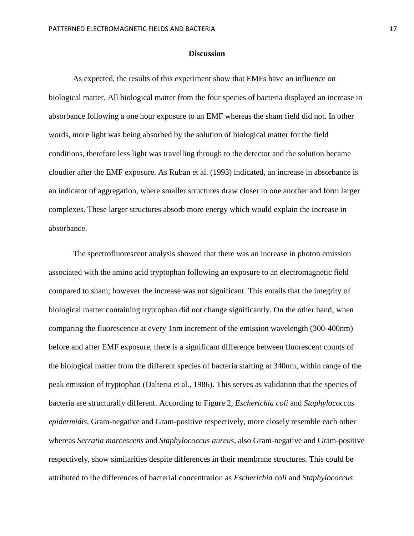#### **Discussion**

As expected, the results of this experiment show that EMFs have an influence on biological matter. All biological matter from the four species of bacteria displayed an increase in absorbance following a one hour exposure to an EMF whereas the sham field did not. In other words, more light was being absorbed by the solution of biological matter for the field conditions, therefore less light was travelling through to the detector and the solution became cloudier after the EMF exposure. As Ruban et al. (1993) indicated, an increase in absorbance is an indicator of aggregation, where smaller structures draw closer to one another and form larger complexes. These larger structures absorb more energy which would explain the increase in absorbance.

The spectrofluorescent analysis showed that there was an increase in photon emission associated with the amino acid tryptophan following an exposure to an electromagnetic field compared to sham; however the increase was not significant. This entails that the integrity of biological matter containing tryptophan did not change significantly. On the other hand, when comparing the fluorescence at every 1nm increment of the emission wavelength (300-400nm) before and after EMF exposure, there is a significant difference between fluorescent counts of the biological matter from the different species of bacteria starting at 340nm, within range of the peak emission of tryptophan (Dalteria et al., 1986). This serves as validation that the species of bacteria are structurally different. According to Figure 2, *Escherichia coli* and *Staphylococcus epidermidis*, Gram-negative and Gram-positive respectively, more closely resemble each other whereas *Serratia marcescens* and *Staphylococcus aureus*, also Gram-negative and Gram-positive respectively, show similarities despite differences in their membrane structures. This could be attributed to the differences of bacterial concentration as *Escherichia coli* and *Staphylococcus*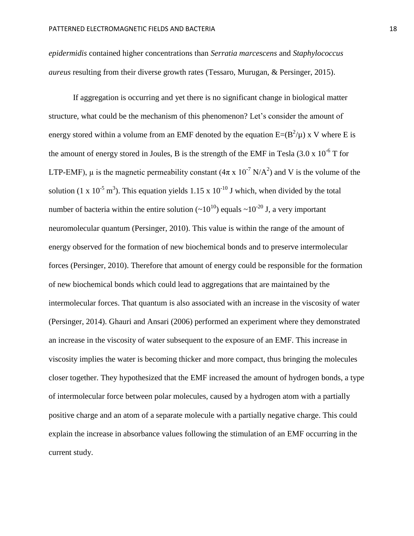*epidermidis* contained higher concentrations than *Serratia marcescens* and *Staphylococcus aureus* resulting from their diverse growth rates (Tessaro, Murugan, & Persinger, 2015).

If aggregation is occurring and yet there is no significant change in biological matter structure, what could be the mechanism of this phenomenon? Let's consider the amount of energy stored within a volume from an EMF denoted by the equation  $E=(B^2/\mu)$  x V where E is the amount of energy stored in Joules, B is the strength of the EMF in Tesla  $(3.0 \times 10^{-6} T)$  for LTP-EMF),  $\mu$  is the magnetic permeability constant (4 $\pi$  x 10<sup>-7</sup> N/A<sup>2</sup>) and V is the volume of the solution (1 x 10<sup>-5</sup> m<sup>3</sup>). This equation yields 1.15 x 10<sup>-10</sup> J which, when divided by the total number of bacteria within the entire solution  $({\sim}10^{10})$  equals  ${\sim}10^{-20}$  J, a very important neuromolecular quantum (Persinger, 2010). This value is within the range of the amount of energy observed for the formation of new biochemical bonds and to preserve intermolecular forces (Persinger, 2010). Therefore that amount of energy could be responsible for the formation of new biochemical bonds which could lead to aggregations that are maintained by the intermolecular forces. That quantum is also associated with an increase in the viscosity of water (Persinger, 2014). Ghauri and Ansari (2006) performed an experiment where they demonstrated an increase in the viscosity of water subsequent to the exposure of an EMF. This increase in viscosity implies the water is becoming thicker and more compact, thus bringing the molecules closer together. They hypothesized that the EMF increased the amount of hydrogen bonds, a type of intermolecular force between polar molecules, caused by a hydrogen atom with a partially positive charge and an atom of a separate molecule with a partially negative charge. This could explain the increase in absorbance values following the stimulation of an EMF occurring in the current study.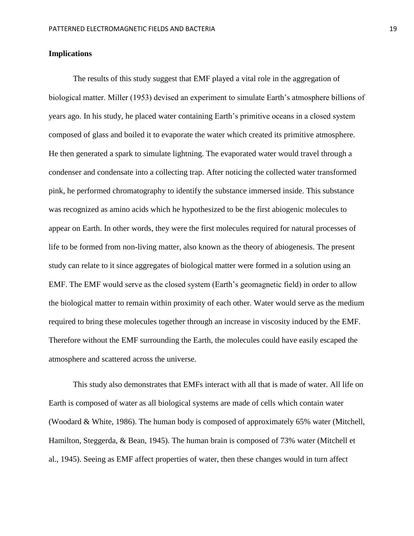## **Implications**

The results of this study suggest that EMF played a vital role in the aggregation of biological matter. Miller (1953) devised an experiment to simulate Earth's atmosphere billions of years ago. In his study, he placed water containing Earth's primitive oceans in a closed system composed of glass and boiled it to evaporate the water which created its primitive atmosphere. He then generated a spark to simulate lightning. The evaporated water would travel through a condenser and condensate into a collecting trap. After noticing the collected water transformed pink, he performed chromatography to identify the substance immersed inside. This substance was recognized as amino acids which he hypothesized to be the first abiogenic molecules to appear on Earth. In other words, they were the first molecules required for natural processes of life to be formed from non-living matter, also known as the theory of abiogenesis. The present study can relate to it since aggregates of biological matter were formed in a solution using an EMF. The EMF would serve as the closed system (Earth's geomagnetic field) in order to allow the biological matter to remain within proximity of each other. Water would serve as the medium required to bring these molecules together through an increase in viscosity induced by the EMF. Therefore without the EMF surrounding the Earth, the molecules could have easily escaped the atmosphere and scattered across the universe.

This study also demonstrates that EMFs interact with all that is made of water. All life on Earth is composed of water as all biological systems are made of cells which contain water (Woodard & White, 1986). The human body is composed of approximately 65% water (Mitchell, Hamilton, Steggerda, & Bean, 1945). The human brain is composed of 73% water (Mitchell et al., 1945). Seeing as EMF affect properties of water, then these changes would in turn affect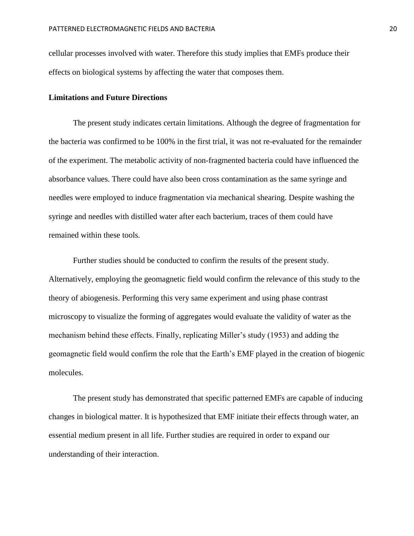cellular processes involved with water. Therefore this study implies that EMFs produce their effects on biological systems by affecting the water that composes them.

#### **Limitations and Future Directions**

The present study indicates certain limitations. Although the degree of fragmentation for the bacteria was confirmed to be 100% in the first trial, it was not re-evaluated for the remainder of the experiment. The metabolic activity of non-fragmented bacteria could have influenced the absorbance values. There could have also been cross contamination as the same syringe and needles were employed to induce fragmentation via mechanical shearing. Despite washing the syringe and needles with distilled water after each bacterium, traces of them could have remained within these tools.

Further studies should be conducted to confirm the results of the present study. Alternatively, employing the geomagnetic field would confirm the relevance of this study to the theory of abiogenesis. Performing this very same experiment and using phase contrast microscopy to visualize the forming of aggregates would evaluate the validity of water as the mechanism behind these effects. Finally, replicating Miller's study (1953) and adding the geomagnetic field would confirm the role that the Earth's EMF played in the creation of biogenic molecules.

The present study has demonstrated that specific patterned EMFs are capable of inducing changes in biological matter. It is hypothesized that EMF initiate their effects through water, an essential medium present in all life. Further studies are required in order to expand our understanding of their interaction.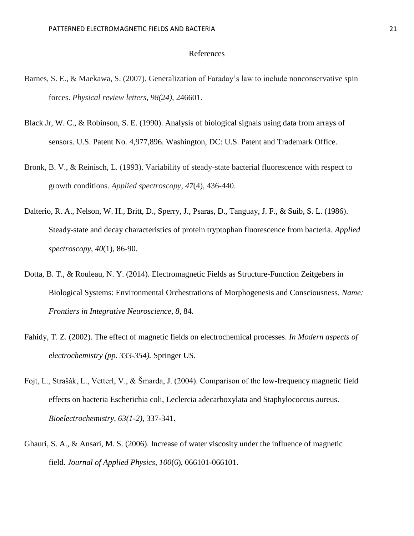## References

- Barnes, S. E., & Maekawa, S. (2007). Generalization of Faraday's law to include nonconservative spin forces. *Physical review letters, 98(24),* 246601.
- Black Jr, W. C., & Robinson, S. E. (1990). Analysis of biological signals using data from arrays of sensors. U.S. Patent No. 4,977,896. Washington, DC: U.S. Patent and Trademark Office.
- Bronk, B. V., & Reinisch, L. (1993). Variability of steady-state bacterial fluorescence with respect to growth conditions. *Applied spectroscopy*, *47*(4), 436-440.
- Dalterio, R. A., Nelson, W. H., Britt, D., Sperry, J., Psaras, D., Tanguay, J. F., & Suib, S. L. (1986). Steady-state and decay characteristics of protein tryptophan fluorescence from bacteria. *Applied spectroscopy*, *40*(1), 86-90.
- Dotta, B. T., & Rouleau, N. Y. (2014). Electromagnetic Fields as Structure-Function Zeitgebers in Biological Systems: Environmental Orchestrations of Morphogenesis and Consciousness. *Name: Frontiers in Integrative Neuroscience*, *8*, 84.
- Fahidy, T. Z. (2002). The effect of magnetic fields on electrochemical processes. *In Modern aspects of electrochemistry (pp. 333-354).* Springer US.
- Fojt, L., Strašák, L., Vetterl, V., & Šmarda, J. (2004). Comparison of the low-frequency magnetic field effects on bacteria Escherichia coli, Leclercia adecarboxylata and Staphylococcus aureus. *Bioelectrochemistry, 63(1-2),* 337-341.
- Ghauri, S. A., & Ansari, M. S. (2006). Increase of water viscosity under the influence of magnetic field. *Journal of Applied Physics*, *100*(6), 066101-066101.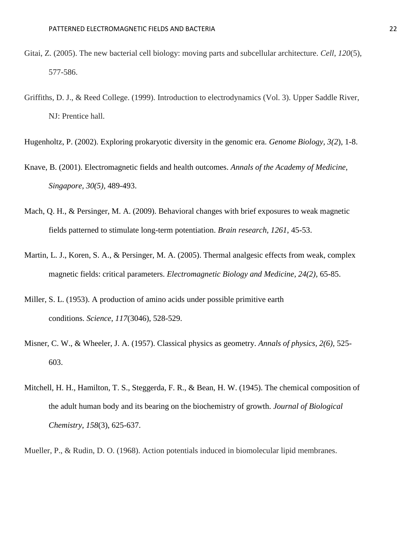- Gitai, Z. (2005). The new bacterial cell biology: moving parts and subcellular architecture. *Cell*, *120*(5), 577-586.
- Griffiths, D. J., & Reed College. (1999). Introduction to electrodynamics (Vol. 3). Upper Saddle River, NJ: Prentice hall.
- Hugenholtz, P. (2002). Exploring prokaryotic diversity in the genomic era. *Genome Biology, 3(2*), 1-8.
- Knave, B. (2001). Electromagnetic fields and health outcomes. *Annals of the Academy of Medicine, Singapore, 30(5),* 489-493.
- Mach, Q. H., & Persinger, M. A. (2009). Behavioral changes with brief exposures to weak magnetic fields patterned to stimulate long-term potentiation. *Brain research, 1261*, 45-53.
- Martin, L. J., Koren, S. A., & Persinger, M. A. (2005). Thermal analgesic effects from weak, complex magnetic fields: critical parameters. *Electromagnetic Biology and Medicine, 24(2),* 65-85.
- Miller, S. L. (1953). A production of amino acids under possible primitive earth conditions. *Science*, *117*(3046), 528-529.
- Misner, C. W., & Wheeler, J. A. (1957). Classical physics as geometry. *Annals of physics, 2(6),* 525- 603.
- Mitchell, H. H., Hamilton, T. S., Steggerda, F. R., & Bean, H. W. (1945). The chemical composition of the adult human body and its bearing on the biochemistry of growth. *Journal of Biological Chemistry*, *158*(3), 625-637.
- Mueller, P., & Rudin, D. O. (1968). Action potentials induced in biomolecular lipid membranes.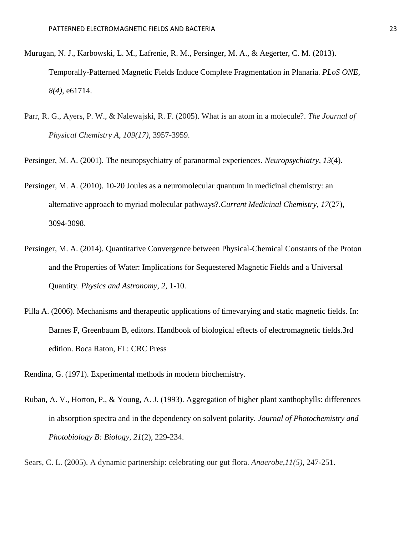- Murugan, N. J., Karbowski, L. M., Lafrenie, R. M., Persinger, M. A., & Aegerter, C. M. (2013). Temporally-Patterned Magnetic Fields Induce Complete Fragmentation in Planaria. *PLoS ONE, 8(4),* e61714.
- Parr, R. G., Ayers, P. W., & Nalewajski, R. F. (2005). What is an atom in a molecule?. *The Journal of Physical Chemistry A, 109(17),* 3957-3959.
- Persinger, M. A. (2001). The neuropsychiatry of paranormal experiences. *Neuropsychiatry*, *13*(4).
- Persinger, M. A. (2010). 10-20 Joules as a neuromolecular quantum in medicinal chemistry: an alternative approach to myriad molecular pathways?.*Current Medicinal Chemistry*, *17*(27), 3094-3098.
- Persinger, M. A. (2014). Quantitative Convergence between Physical-Chemical Constants of the Proton and the Properties of Water: Implications for Sequestered Magnetic Fields and a Universal Quantity. *Physics and Astronomy*, *2*, 1-10.
- Pilla A. (2006). Mechanisms and therapeutic applications of timevarying and static magnetic fields. In: Barnes F, Greenbaum B, editors. Handbook of biological effects of electromagnetic fields.3rd edition. Boca Raton, FL: CRC Press
- Rendina, G. (1971). Experimental methods in modern biochemistry.
- Ruban, A. V., Horton, P., & Young, A. J. (1993). Aggregation of higher plant xanthophylls: differences in absorption spectra and in the dependency on solvent polarity. *Journal of Photochemistry and Photobiology B: Biology*, *21*(2), 229-234.

Sears, C. L. (2005). A dynamic partnership: celebrating our gut flora. *Anaerobe,11(5),* 247-251.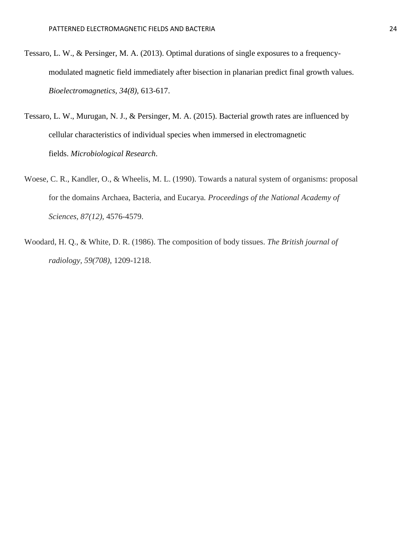- Tessaro, L. W., & Persinger, M. A. (2013). Optimal durations of single exposures to a frequencymodulated magnetic field immediately after bisection in planarian predict final growth values. *Bioelectromagnetics, 34(8),* 613-617.
- Tessaro, L. W., Murugan, N. J., & Persinger, M. A. (2015). Bacterial growth rates are influenced by cellular characteristics of individual species when immersed in electromagnetic fields. *Microbiological Research*.
- Woese, C. R., Kandler, O., & Wheelis, M. L. (1990). Towards a natural system of organisms: proposal for the domains Archaea, Bacteria, and Eucarya*. Proceedings of the National Academy of Sciences, 87(12),* 4576-4579.
- Woodard, H. Q., & White, D. R. (1986). The composition of body tissues. *The British journal of radiology, 59(708)*, 1209-1218.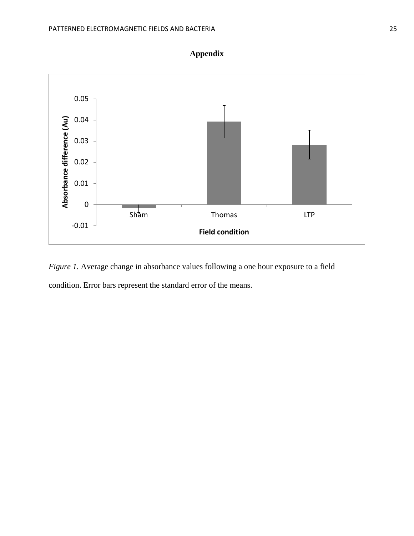

**Appendix**

*Figure 1.* Average change in absorbance values following a one hour exposure to a field condition. Error bars represent the standard error of the means.